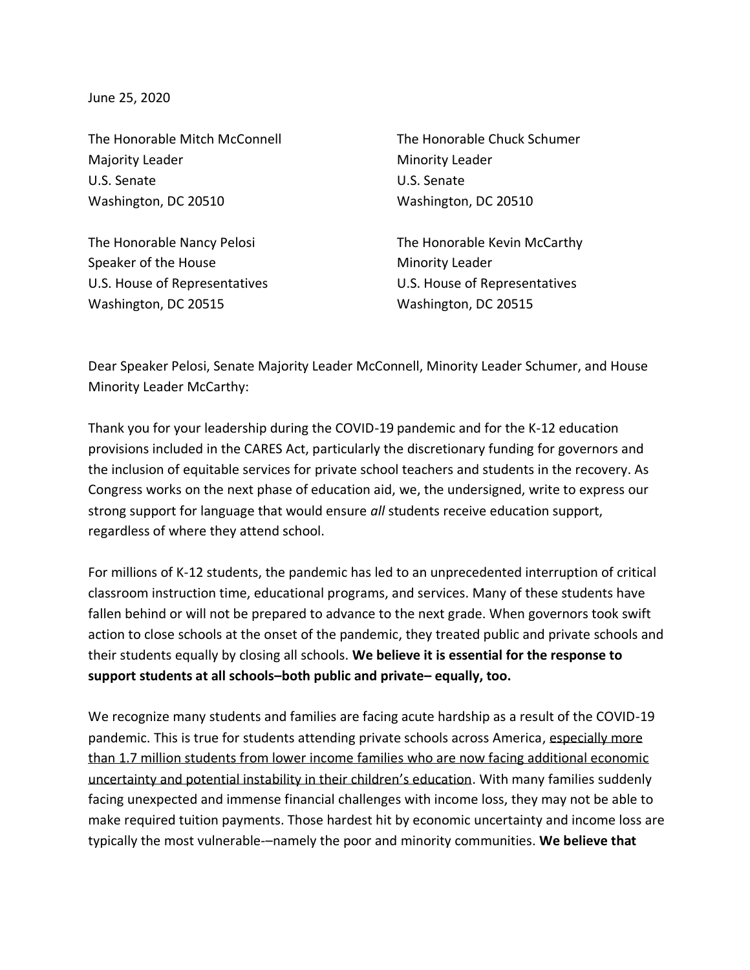June 25, 2020

The Honorable Mitch McConnell The Honorable Chuck Schumer Majority Leader **Minority Leader** Minority Leader U.S. Senate U.S. Senate Washington, DC 20510 Washington, DC 20510

Speaker of the House Minority Leader U.S. House of Representatives U.S. House of Representatives Washington, DC 20515 Washington, DC 20515

The Honorable Nancy Pelosi **The Honorable Kevin McCarthy** 

Dear Speaker Pelosi, Senate Majority Leader McConnell, Minority Leader Schumer, and House Minority Leader McCarthy:

Thank you for your leadership during the COVID-19 pandemic and for the K-12 education provisions included in the CARES Act, particularly the discretionary funding for governors and the inclusion of equitable services for private school teachers and students in the recovery. As Congress works on the next phase of education aid, we, the undersigned, write to express our strong support for language that would ensure *all* students receive education support, regardless of where they attend school.

For millions of K-12 students, the pandemic has led to an unprecedented interruption of critical classroom instruction time, educational programs, and services. Many of these students have fallen behind or will not be prepared to advance to the next grade. When governors took swift action to close schools at the onset of the pandemic, they treated public and private schools and their students equally by closing all schools. **We believe it is essential for the response to support students at all schools–both public and private– equally, too.**

We recognize many students and families are facing acute hardship as a result of the COVID-19 pandemic. This is true for students attending private schools across America, especially more than 1.7 million students from lower income families who are now facing additional economic uncertainty and potential instability in their children's education. With many families suddenly facing unexpected and immense financial challenges with income loss, they may not be able to make required tuition payments. Those hardest hit by economic uncertainty and income loss are typically the most vulnerable-–namely the poor and minority communities. **We believe that**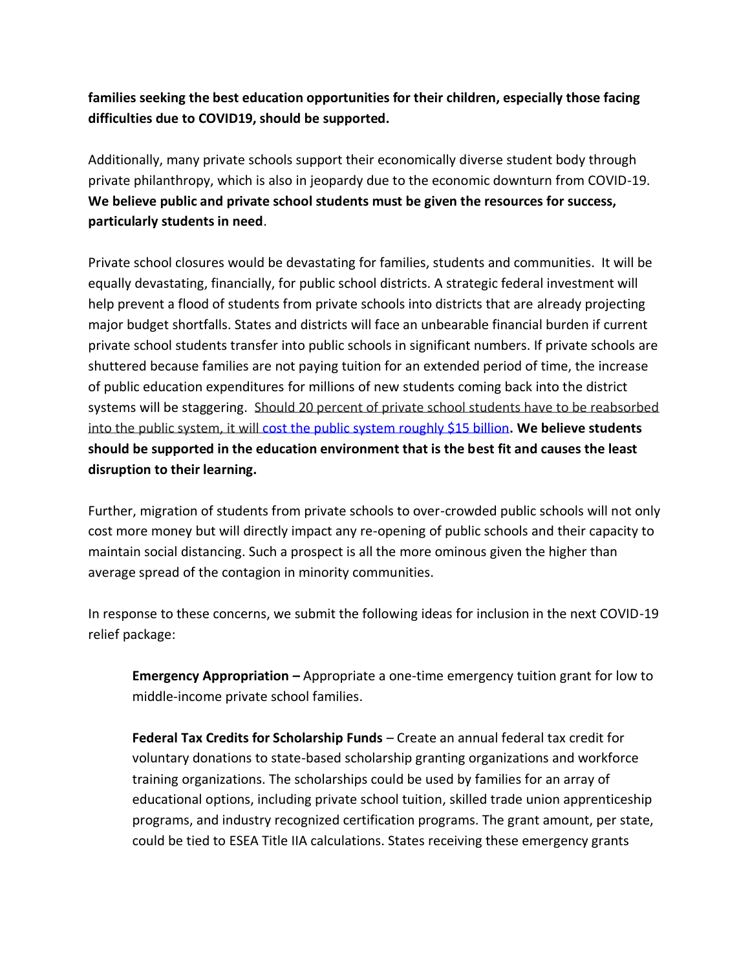## **families seeking the best education opportunities for their children, especially those facing difficulties due to COVID19, should be supported.**

Additionally, many private schools support their economically diverse student body through private philanthropy, which is also in jeopardy due to the economic downturn from COVID-19. **We believe public and private school students must be given the resources for success, particularly students in need**.

Private school closures would be devastating for families, students and communities. It will be equally devastating, financially, for public school districts. A strategic federal investment will help prevent a flood of students from private schools into districts that are already projecting major budget shortfalls. States and districts will face an unbearable financial burden if current private school students transfer into public schools in significant numbers. If private schools are shuttered because families are not paying tuition for an extended period of time, the increase of public education expenditures for millions of new students coming back into the district systems will be staggering. Should 20 percent of private school students have to be reabsorbed into the public system, it will [cost the public system roughly \\$15 billion](https://www.excelined.org/edfly-blog/askexcelined-how-does-covid-19-private-school-closures-impact-all-students/)**. We believe students should be supported in the education environment that is the best fit and causes the least disruption to their learning.**

Further, migration of students from private schools to over-crowded public schools will not only cost more money but will directly impact any re-opening of public schools and their capacity to maintain social distancing. Such a prospect is all the more ominous given the higher than average spread of the contagion in minority communities.

In response to these concerns, we submit the following ideas for inclusion in the next COVID-19 relief package:

**Emergency Appropriation –** Appropriate a one-time emergency tuition grant for low to middle-income private school families.

**Federal Tax Credits for Scholarship Funds** – Create an annual federal tax credit for voluntary donations to state-based scholarship granting organizations and workforce training organizations. The scholarships could be used by families for an array of educational options, including private school tuition, skilled trade union apprenticeship programs, and industry recognized certification programs. The grant amount, per state, could be tied to ESEA Title IIA calculations. States receiving these emergency grants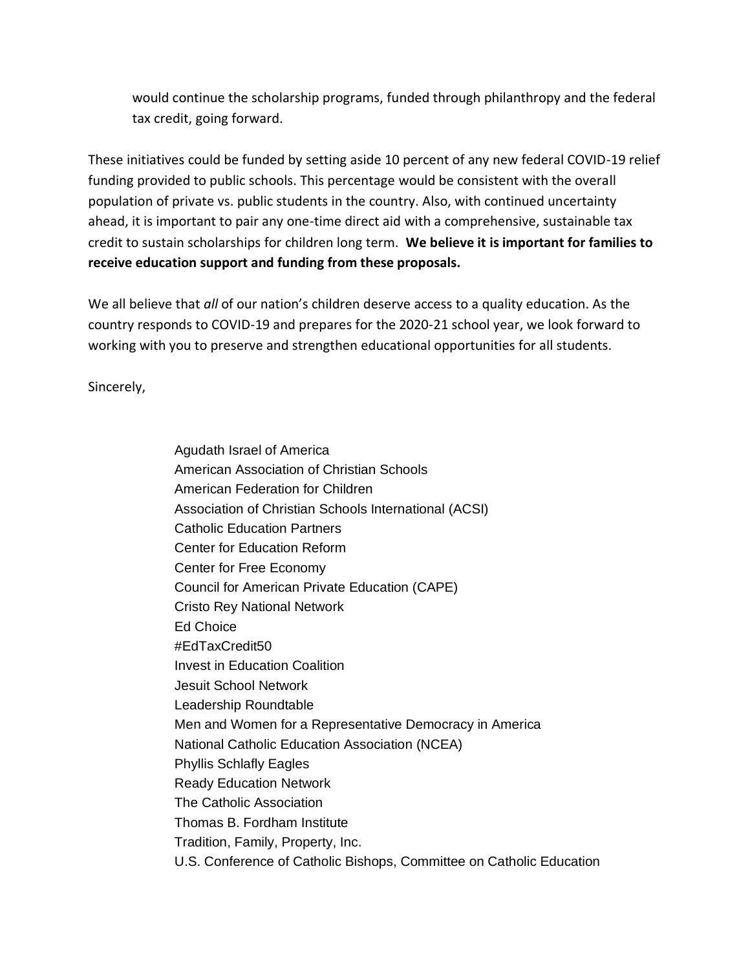would continue the scholarship programs, funded through philanthropy and the federal tax credit, going forward.

These initiatives could be funded by setting aside 10 percent of any new federal COVID-19 relief funding provided to public schools. This percentage would be consistent with the overall population of private vs. public students in the country. Also, with continued uncertainty ahead, it is important to pair any one-time direct aid with a comprehensive, sustainable tax credit to sustain scholarships for children long term. **We believe it is important for families to receive education support and funding from these proposals.**

We all believe that *all* of our nation's children deserve access to a quality education. As the country responds to COVID-19 and prepares for the 2020-21 school year, we look forward to working with you to preserve and strengthen educational opportunities for all students.

Sincerely,

Agudath Israel of America American Association of Christian Schools American Federation for Children Association of Christian Schools International (ACSI) Catholic Education Partners Center for Education Reform Center for Free Economy Council for American Private Education (CAPE) Cristo Rey National Network Ed Choice #EdTaxCredit50 Invest in Education Coalition Jesuit School Network Leadership Roundtable Men and Women for a Representative Democracy in America National Catholic Education Association (NCEA) Phyllis Schlafly Eagles Ready Education Network The Catholic Association Thomas B. Fordham Institute Tradition, Family, Property, Inc. U.S. Conference of Catholic Bishops, Committee on Catholic Education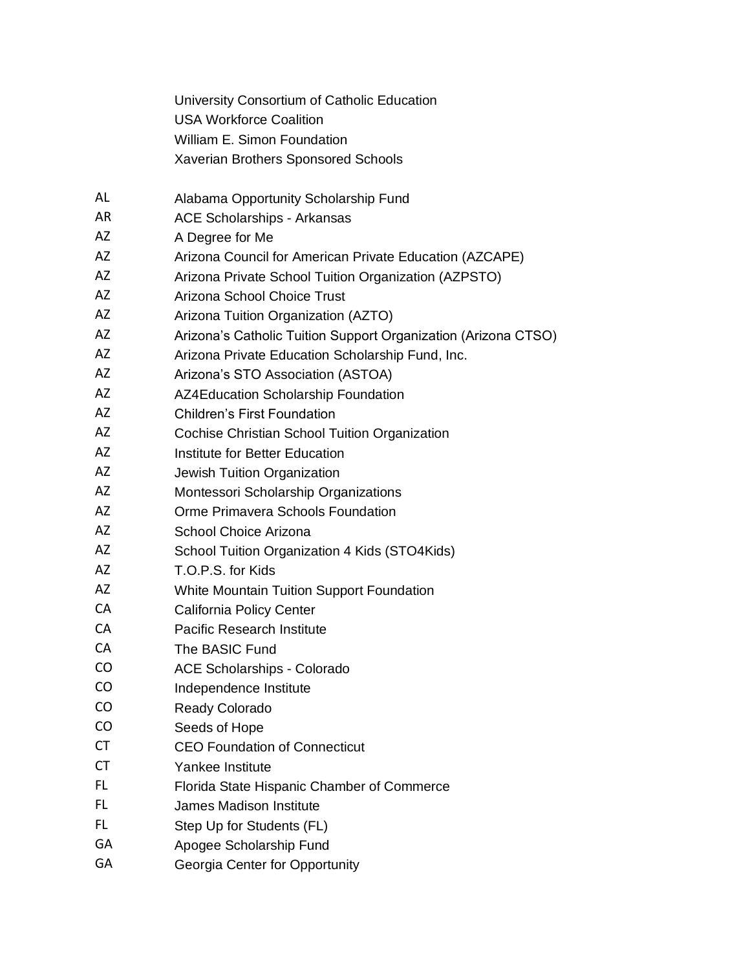University Consortium of Catholic Education USA Workforce Coalition William E. Simon Foundation Xaverian Brothers Sponsored Schools

- AL Alabama Opportunity Scholarship Fund
- AR ACE Scholarships Arkansas
- AZ A Degree for Me
- AZ Arizona Council for American Private Education (AZCAPE)
- AZ Arizona Private School Tuition Organization (AZPSTO)
- AZ Arizona School Choice Trust
- AZ Arizona Tuition Organization (AZTO)
- AZ Arizona's Catholic Tuition Support Organization (Arizona CTSO)
- AZ Arizona Private Education Scholarship Fund, Inc.
- AZ Arizona's STO Association (ASTOA)
- AZ AZ4Education Scholarship Foundation
- AZ Children's First Foundation
- AZ Cochise Christian School Tuition Organization
- AZ **Institute for Better Education**
- AZ Jewish Tuition Organization
- AZ Montessori Scholarship Organizations
- AZ Orme Primavera Schools Foundation
- AZ School Choice Arizona
- AZ School Tuition Organization 4 Kids (STO4Kids)
- AZ T.O.P.S. for Kids
- AZ White Mountain Tuition Support Foundation
- CA California Policy Center
- CA Pacific Research Institute
- CA The BASIC Fund
- CO ACE Scholarships Colorado
- CO Independence Institute
- CO Ready Colorado
- CO Seeds of Hope
- CT CEO Foundation of Connecticut
- CT Yankee Institute
- FL Florida State Hispanic Chamber of Commerce
- FL James Madison Institute
- FL Step Up for Students (FL)
- GA Apogee Scholarship Fund
- GA Georgia Center for Opportunity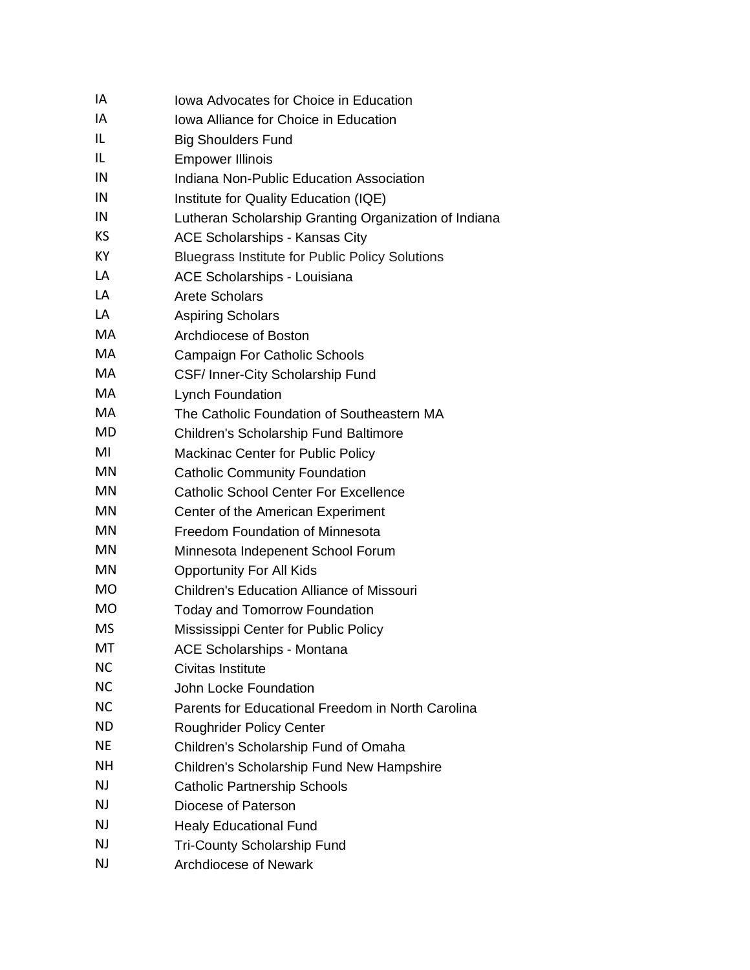| IA        | Iowa Advocates for Choice in Education                 |
|-----------|--------------------------------------------------------|
| IA        | Iowa Alliance for Choice in Education                  |
| IL        | <b>Big Shoulders Fund</b>                              |
| IL        | <b>Empower Illinois</b>                                |
| IN        | Indiana Non-Public Education Association               |
| IN        | Institute for Quality Education (IQE)                  |
| IN        | Lutheran Scholarship Granting Organization of Indiana  |
| KS        | <b>ACE Scholarships - Kansas City</b>                  |
| KY        | <b>Bluegrass Institute for Public Policy Solutions</b> |
| LA        | ACE Scholarships - Louisiana                           |
| LA        | <b>Arete Scholars</b>                                  |
| LA        | <b>Aspiring Scholars</b>                               |
| <b>MA</b> | Archdiocese of Boston                                  |
| MA        | Campaign For Catholic Schools                          |
| МA        | CSF/ Inner-City Scholarship Fund                       |
| МA        | <b>Lynch Foundation</b>                                |
| MA        | The Catholic Foundation of Southeastern MA             |
| MD        | <b>Children's Scholarship Fund Baltimore</b>           |
| MI        | <b>Mackinac Center for Public Policy</b>               |
| <b>MN</b> | <b>Catholic Community Foundation</b>                   |
| MN        | <b>Catholic School Center For Excellence</b>           |
| MN        | Center of the American Experiment                      |
| MN        | Freedom Foundation of Minnesota                        |
| MN        | Minnesota Indepenent School Forum                      |
| MN        | <b>Opportunity For All Kids</b>                        |
| <b>MO</b> | <b>Children's Education Alliance of Missouri</b>       |
| <b>MO</b> | <b>Today and Tomorrow Foundation</b>                   |
| MS        | Mississippi Center for Public Policy                   |
| МT        | <b>ACE Scholarships - Montana</b>                      |
| <b>NC</b> | Civitas Institute                                      |
| <b>NC</b> | John Locke Foundation                                  |
| <b>NC</b> | Parents for Educational Freedom in North Carolina      |
| ND.       | <b>Roughrider Policy Center</b>                        |
| NE        | Children's Scholarship Fund of Omaha                   |
| <b>NH</b> | Children's Scholarship Fund New Hampshire              |
| <b>NJ</b> | <b>Catholic Partnership Schools</b>                    |
| <b>NJ</b> | Diocese of Paterson                                    |
| NJ        | <b>Healy Educational Fund</b>                          |
| <b>NJ</b> | <b>Tri-County Scholarship Fund</b>                     |
| <b>NJ</b> | <b>Archdiocese of Newark</b>                           |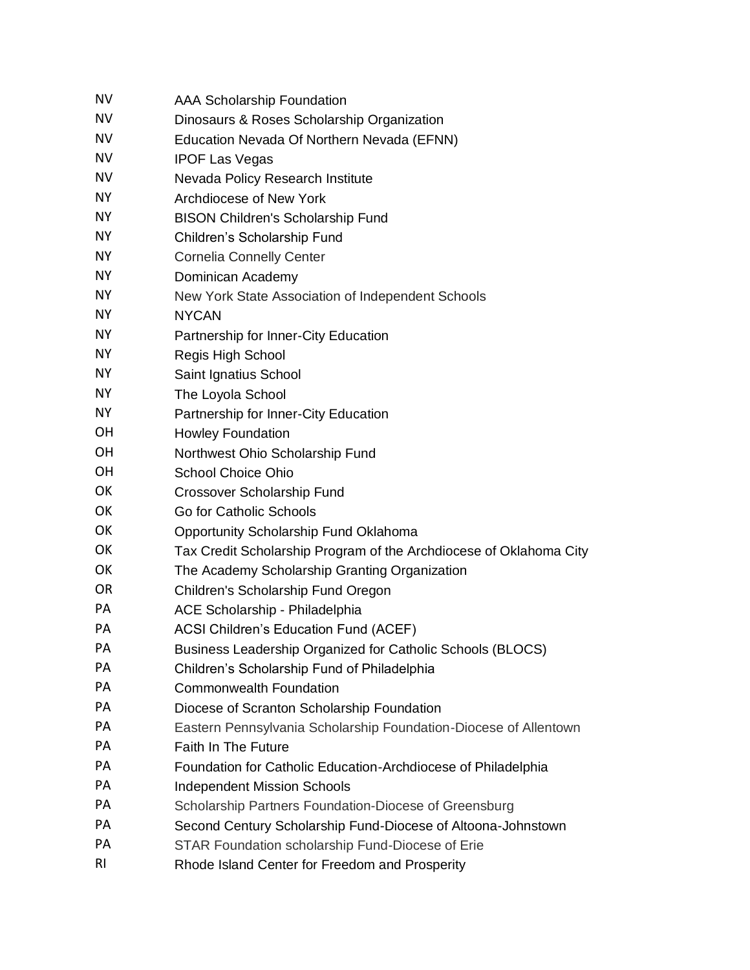| <b>NV</b> | <b>AAA Scholarship Foundation</b>                                  |
|-----------|--------------------------------------------------------------------|
| <b>NV</b> | Dinosaurs & Roses Scholarship Organization                         |
| <b>NV</b> | Education Nevada Of Northern Nevada (EFNN)                         |
| <b>NV</b> | <b>IPOF Las Vegas</b>                                              |
| <b>NV</b> | Nevada Policy Research Institute                                   |
| <b>NY</b> | Archdiocese of New York                                            |
| <b>NY</b> | <b>BISON Children's Scholarship Fund</b>                           |
| <b>NY</b> | Children's Scholarship Fund                                        |
| <b>NY</b> | <b>Cornelia Connelly Center</b>                                    |
| NY.       | Dominican Academy                                                  |
| <b>NY</b> | New York State Association of Independent Schools                  |
| <b>NY</b> | <b>NYCAN</b>                                                       |
| NY.       | Partnership for Inner-City Education                               |
| <b>NY</b> | Regis High School                                                  |
| <b>NY</b> | Saint Ignatius School                                              |
| NY.       | The Loyola School                                                  |
| <b>NY</b> | Partnership for Inner-City Education                               |
| OH        | <b>Howley Foundation</b>                                           |
| <b>OH</b> | Northwest Ohio Scholarship Fund                                    |
| <b>OH</b> | <b>School Choice Ohio</b>                                          |
| OK        | Crossover Scholarship Fund                                         |
| OK        | Go for Catholic Schools                                            |
| OK        | Opportunity Scholarship Fund Oklahoma                              |
| OK        | Tax Credit Scholarship Program of the Archdiocese of Oklahoma City |
| OK        | The Academy Scholarship Granting Organization                      |
| <b>OR</b> | Children's Scholarship Fund Oregon                                 |
| PA        | ACE Scholarship - Philadelphia                                     |
| PА        | <b>ACSI Children's Education Fund (ACEF)</b>                       |
| PА        | Business Leadership Organized for Catholic Schools (BLOCS)         |
| PA        | Children's Scholarship Fund of Philadelphia                        |
| PА        | <b>Commonwealth Foundation</b>                                     |
| PA        | Diocese of Scranton Scholarship Foundation                         |
| PA        | Eastern Pennsylvania Scholarship Foundation-Diocese of Allentown   |
| PA        | <b>Faith In The Future</b>                                         |
| PА        | Foundation for Catholic Education-Archdiocese of Philadelphia      |
| PA        | <b>Independent Mission Schools</b>                                 |
| PA        | Scholarship Partners Foundation-Diocese of Greensburg              |
| PA        | Second Century Scholarship Fund-Diocese of Altoona-Johnstown       |
| PА        | STAR Foundation scholarship Fund-Diocese of Erie                   |
| RI        | Rhode Island Center for Freedom and Prosperity                     |